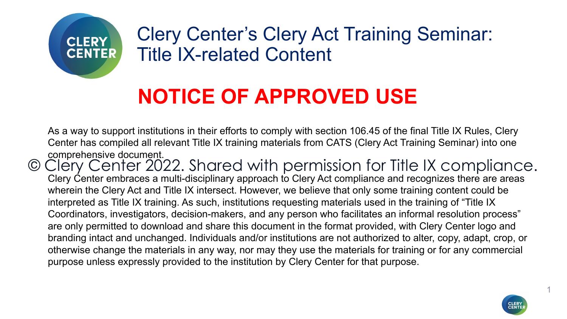

Clery Center's Clery Act Training Seminar: Title IX-related Content

### **NOTICE OF APPROVED USE**

As a way to support institutions in their efforts to comply with section 106.45 of the final Title IX Rules, Clery Center has compiled all relevant Title IX training materials from CATS (Clery Act Training Seminar) into one comprehensive document.

Clery Center embraces a multi-disciplinary approach to Clery Act compliance and recognizes there are areas wherein the Clery Act and Title IX intersect. However, we believe that only some training content could be interpreted as Title IX training. As such, institutions requesting materials used in the training of "Title IX Coordinators, investigators, decision-makers, and any person who facilitates an informal resolution process" are only permitted to download and share this document in the format provided, with Clery Center logo and branding intact and unchanged. Individuals and/or institutions are not authorized to alter, copy, adapt, crop, or otherwise change the materials in any way, nor may they use the materials for training or for any commercial purpose unless expressly provided to the institution by Clery Center for that purpose. © Clery Center 2022. Shared with permission for Title IX compliance.



1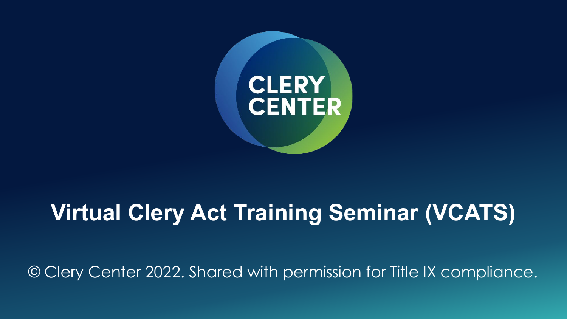

### **Virtual Clery Act Training Seminar (VCATS)**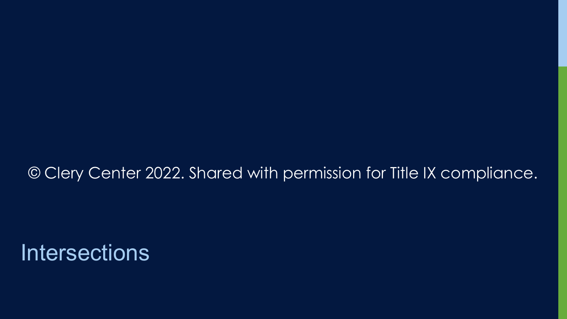#### © Clery Center 2022. Shared with permission for Title IX compliance.

### **Intersections**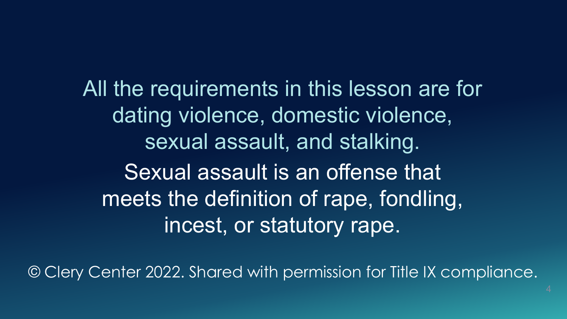All the requirements in this lesson are for dating violence, domestic violence, sexual assault, and stalking. Sexual assault is an offense that meets the definition of rape, fondling, incest, or statutory rape.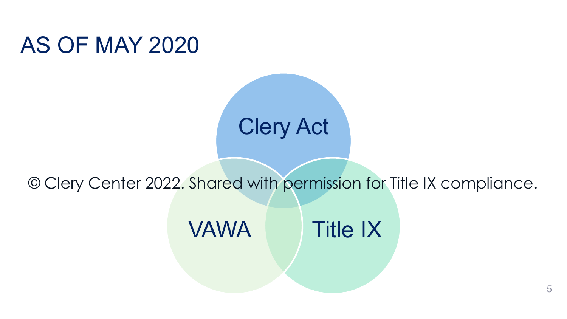### AS OF MAY 2020



#### © Clery Center 2022. Shared with permission for Title IX compliance.



5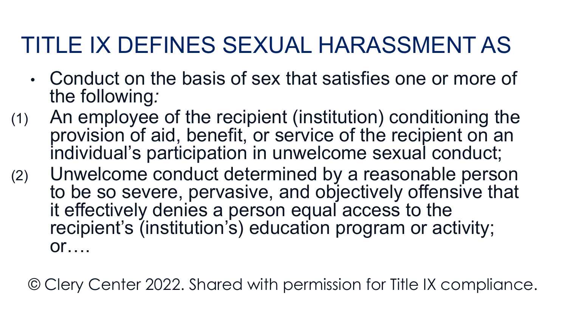## TITLE IX DEFINES SEXUAL HARASSMENT AS

- Conduct on the basis of sex that satisfies one or more of the following*:*
- (1) An employee of the recipient (institution) conditioning the provision of aid, benefit, or service of the recipient on an individual's participation in unwelcome sexual conduct;
- (2) Unwelcome conduct determined by a reasonable person to be so severe, pervasive, and objectively offensive that it effectively denies a person equal access to the recipient's (institution's) education program or activity;  $or$ ….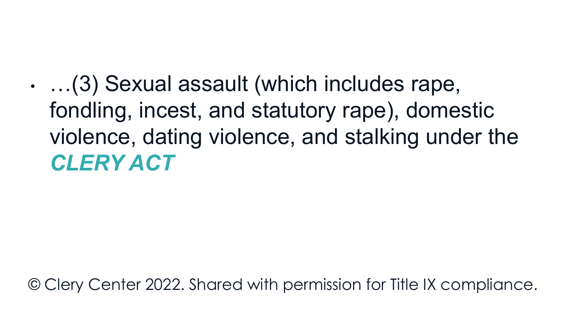• …(3) Sexual assault (which includes rape, fondling, incest, and statutory rape), domestic violence, dating violence, and stalking under the *CLERY ACT*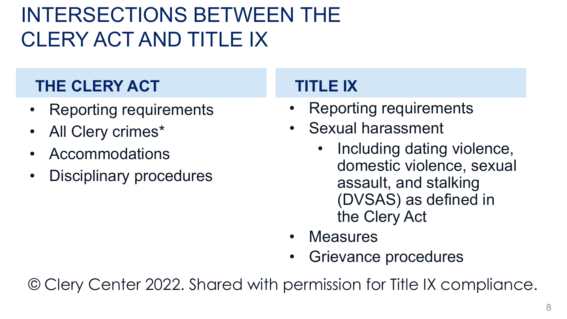### INTERSECTIONS BETWEEN THE CLERY ACT AND TITLE IX

#### **THE CLERY ACT**

- Reporting requirements
- All Clery crimes\*
- Accommodations
- Disciplinary procedures

#### **TITLE IX**

- Reporting requirements
- Sexual harassment
	- Including dating violence, domestic violence, sexual assault, and stalking (DVSAS) as defined in the Clery Act
- Measures
- Grievance procedures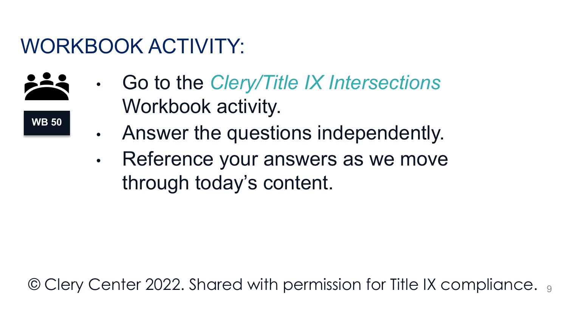### WORKBOOK ACTIVITY:



**WB 50** 

- Go to the *Clery/Title IX Intersections* Workbook activity.
- Answer the questions independently.
- Reference your answers as we move through today's content.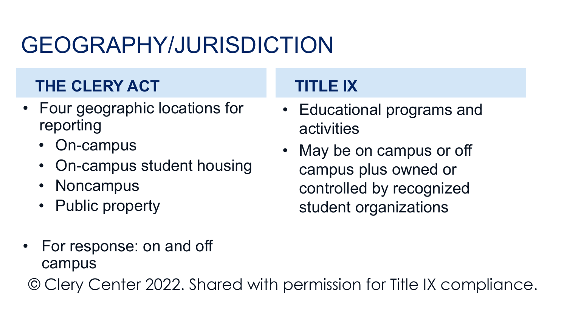## GEOGRAPHY/JURISDICTION

### **THE CLERY ACT**

- Four geographic locations for reporting
	- On-campus
	- On-campus student housing
	- Noncampus
	- Public property

### **TITLE IX**

- Educational programs and activities
- May be on campus or off campus plus owned or controlled by recognized student organizations

• For response: on and off campus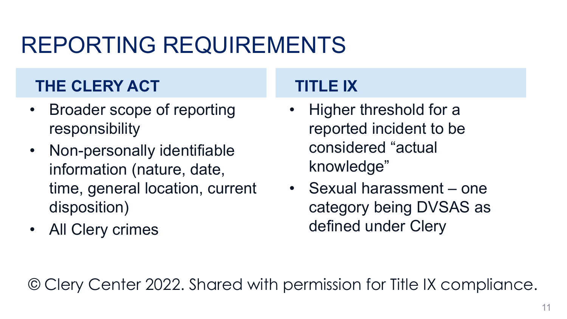## REPORTING REQUIREMENTS

#### **THE CLERY ACT**

- Broader scope of reporting responsibility
- Non-personally identifiable information (nature, date, time, general location, current disposition)
- All Clery crimes

#### **TITLE IX**

- Higher threshold for a reported incident to be considered "actual knowledge"
- Sexual harassment one category being DVSAS as defined under Clery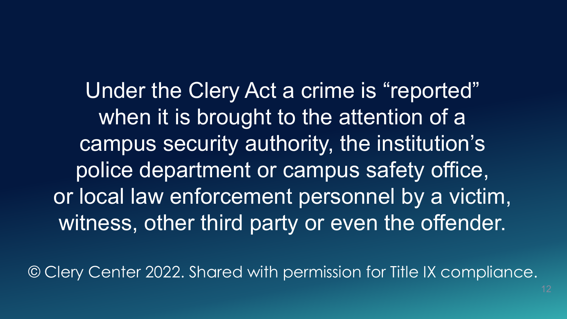Under the Clery Act a crime is "reported" when it is brought to the attention of a campus security authority, the institution's police department or campus safety office, or local law enforcement personnel by a victim, witness, other third party or even the offender.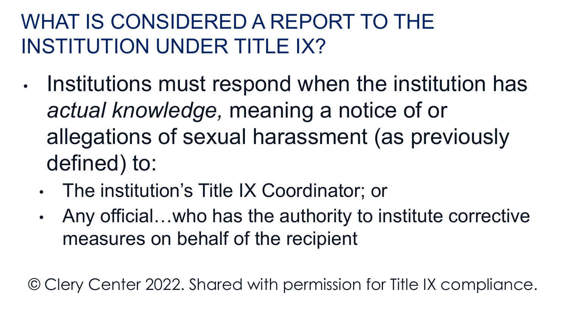### WHAT IS CONSIDERED A REPORT TO THE INSTITUTION UNDER TITLE IX?

- Institutions must respond when the institution has *actual knowledge,* meaning a notice of or allegations of sexual harassment (as previously defined) to:
	- The institution's Title IX Coordinator; or
	- Any official…who has the authority to institute corrective measures on behalf of the recipient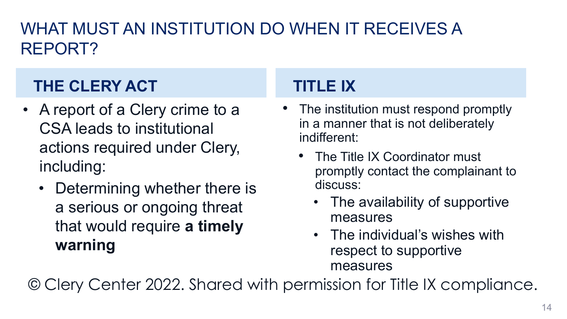#### WHAT MUST AN INSTITUTION DO WHEN IT RECEIVES A REPORT?

### **THE CLERY ACT**

- A report of a Clery crime to a CSA leads to institutional actions required under Clery, including:
	- Determining whether there is a serious or ongoing threat that would require **a timely warning**

#### **TITLE IX**

- The institution must respond promptly in a manner that is not deliberately indifferent:
	- The Title IX Coordinator must promptly contact the complainant to discuss:
		- The availability of supportive measures
		- The individual's wishes with respect to supportive measures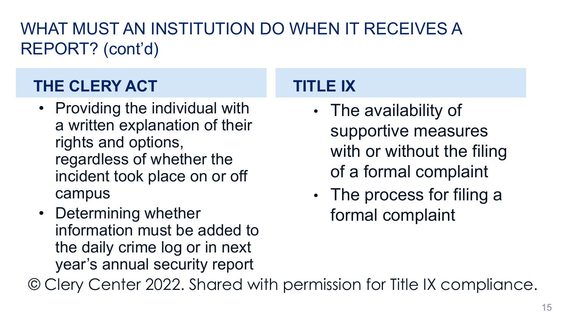#### WHAT MUST AN INSTITUTION DO WHEN IT RECEIVES A REPORT? (cont'd)

### **THE CLERY ACT**

- Providing the individual with a written explanation of their rights and options, regardless of whether the incident took place on or off campus
- Determining whether information must be added to the daily crime log or in next year's annual security report

### **TITLE IX**

- The availability of supportive measures with or without the filing of a formal complaint
- The process for filing a formal complaint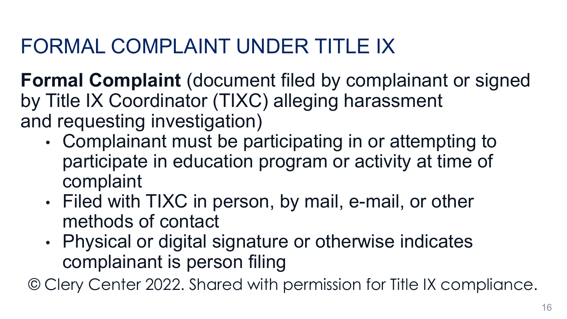### FORMAL COMPLAINT UNDER TITLE IX

**Formal Complaint** (document filed by complainant or signed by Title IX Coordinator (TIXC) alleging harassment and requesting investigation)

- Complainant must be participating in or attempting to participate in education program or activity at time of complaint
- Filed with TIXC in person, by mail, e-mail, or other methods of contact
- Physical or digital signature or otherwise indicates complainant is person filing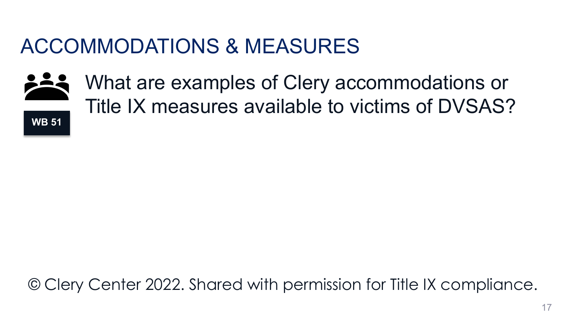### ACCOMMODATIONS & MEASURES



What are examples of Clery accommodations or Title IX measures available to victims of DVSAS?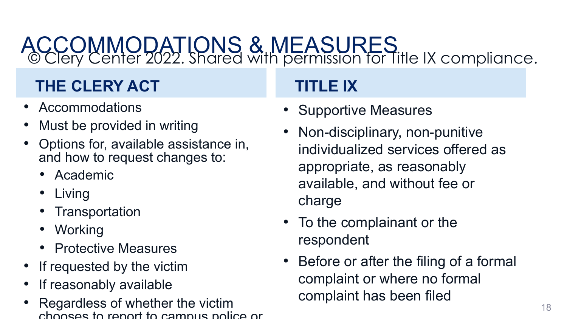#### ACCOMMODATIONS & MEASURES © Clery Center 2022. Shared with permission for Title IX compliance.

#### **THE CLERY ACT**

- Accommodations
- Must be provided in writing
- Options for, available assistance in, and how to request changes to:
	- Academic
	- Living
	- Transportation
	- Working
	- Protective Measures
- If requested by the victim
- If reasonably available
- Regardless of whether the victim chooses to report to campus police or

### **TITLE IX**

- Supportive Measures
- Non-disciplinary, non-punitive individualized services offered as appropriate, as reasonably available, and without fee or charge
- To the complainant or the respondent
- Before or after the filing of a formal complaint or where no formal complaint has been filed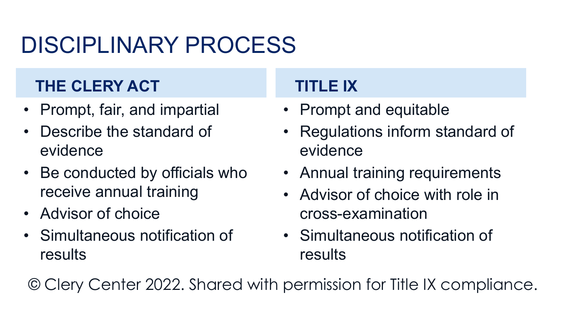## DISCIPLINARY PROCESS

#### **THE CLERY ACT**

- Prompt, fair, and impartial
- Describe the standard of evidence
- Be conducted by officials who receive annual training
- Advisor of choice
- Simultaneous notification of results

#### **TITLE IX**

- Prompt and equitable
- Regulations inform standard of evidence
- Annual training requirements
- Advisor of choice with role in cross-examination
- Simultaneous notification of results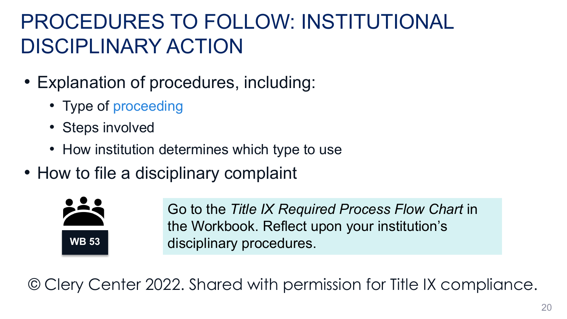### PROCEDURES TO FOLLOW: INSTITUTIONAL DISCIPLINARY ACTION

- Explanation of procedures, including:
	- Type of proceeding
	- Steps involved
	- How institution determines which type to use
- How to file a disciplinary complaint



Go to the *Title IX Required Process Flow Chart* in the Workbook. Reflect upon your institution's disciplinary procedures.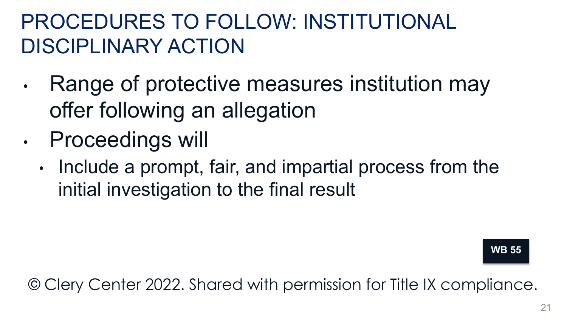### PROCEDURES TO FOLLOW: INSTITUTIONAL DISCIPLINARY ACTION

- Range of protective measures institution may offer following an allegation
- Proceedings will
	- Include a prompt, fair, and impartial process from the initial investigation to the final result

**WB 55**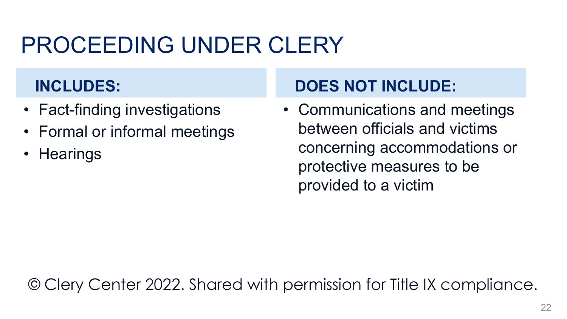## PROCEEDING UNDER CLERY

#### **INCLUDES:**

- Fact-finding investigations
- Formal or informal meetings
- Hearings

### **DOES NOT INCLUDE:**

• Communications and meetings between officials and victims concerning accommodations or protective measures to be provided to a victim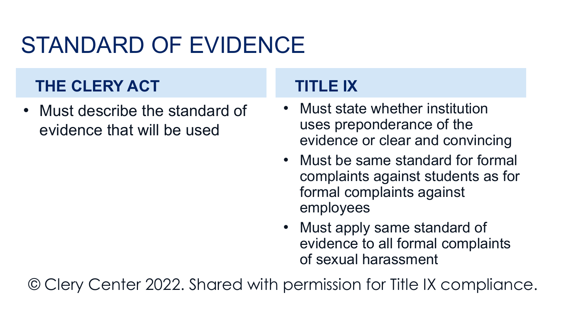## STANDARD OF EVIDENCE

#### **THE CLERY ACT**

• Must describe the standard of evidence that will be used

#### **TITLE IX**

- Must state whether institution uses preponderance of the evidence or clear and convincing
- Must be same standard for formal complaints against students as for formal complaints against employees
- Must apply same standard of evidence to all formal complaints of sexual harassment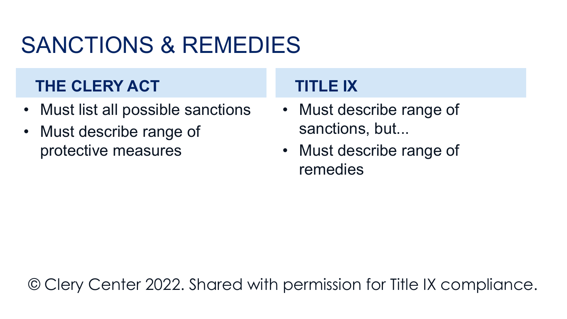## SANCTIONS & REMEDIES

#### **THE CLERY ACT**

- Must list all possible sanctions
- Must describe range of protective measures

#### **TITLE IX**

- Must describe range of sanctions, but...
- Must describe range of remedies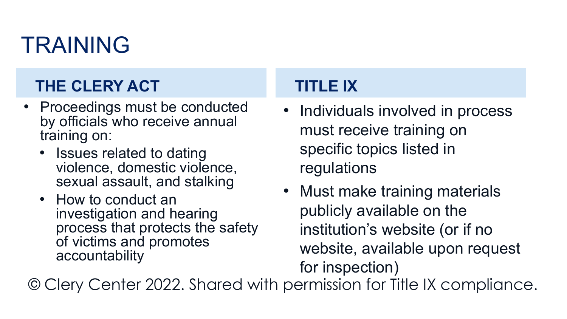## TRAINING

#### **THE CLERY ACT**

- Proceedings must be conducted by officials who receive annual training on:
	- Issues related to dating violence, domestic violence, sexual assault, and stalking
	- How to conduct an investigation and hearing process that protects the safety of victims and promotes accountability

#### **TITLE IX**

- Individuals involved in process must receive training on specific topics listed in regulations
- Must make training materials publicly available on the institution's website (or if no website, available upon request for inspection)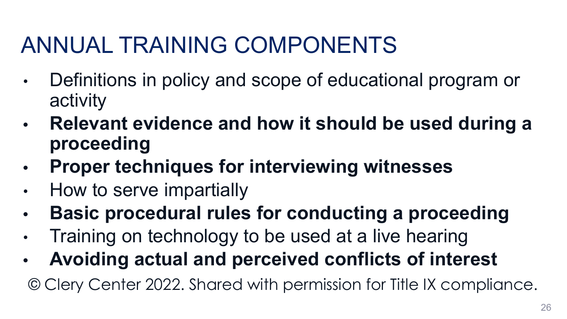## ANNUAL TRAINING COMPONENTS

- Definitions in policy and scope of educational program or activity
- **• Relevant evidence and how it should be used during a proceeding**
- **• Proper techniques for interviewing witnesses**
- How to serve impartially
- **• Basic procedural rules for conducting a proceeding**
- Training on technology to be used at a live hearing
- **• Avoiding actual and perceived conflicts of interest**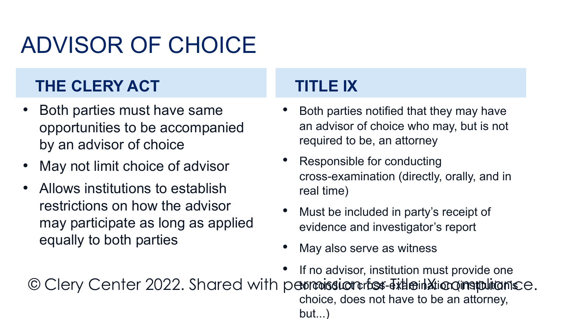## ADVISOR OF CHOICE

#### **THE CLERY ACT**

- Both parties must have same opportunities to be accompanied by an advisor of choice
- May not limit choice of advisor
- Allows institutions to establish restrictions on how the advisor may participate as long as applied equally to both parties

#### **TITLE IX**

- Both parties notified that they may have an advisor of choice who may, but is not required to be, an attorney
- Responsible for conducting cross-examination (directly, orally, and in real time)
- Must be included in party's receipt of evidence and investigator's report
- May also serve as witness

If no advisor, institution must provide one © Clery Center 2022. Shared with permission fos Title in Alionampulianse. choice, does not have to be an attorney, but...)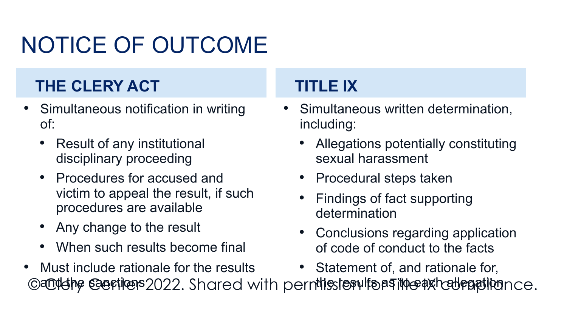# NOTICE OF OUTCOME

#### **THE CLERY ACT**

- Simultaneous notification in writing of:
	- Result of any institutional disciplinary proceeding
	- Procedures for accused and victim to appeal the result, if such procedures are available
	- Any change to the result
	- When such results become final

• Must include rationale for the results

#### **TITLE IX**

- Simultaneous written determination, including:
	- Allegations potentially constituting sexual harassment
	- Procedural steps taken
	- Findings of fact supporting determination
	- Conclusions regarding application of code of conduct to the facts
	- Statement of, and rationale for,

©and the sanctions 2022. Shared with permitission for Title axhall ration ce.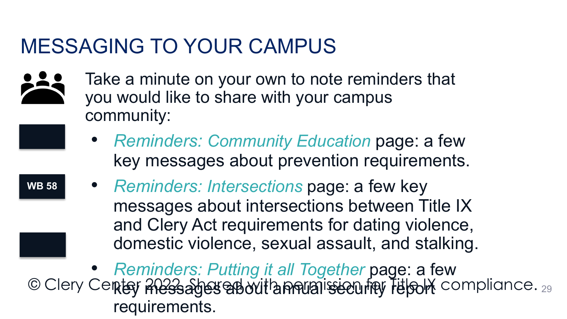### MESSAGING TO YOUR CAMPUS



**WB 58** 

- Take a minute on your own to note reminders that you would like to share with your campus community:
	- *• Reminders: Community Education* page: a few key messages about prevention requirements.
	- *• Reminders: Intersections* page: a few key messages about intersections between Title IX and Clery Act requirements for dating violence, domestic violence, sexual assault, and stalking.

29 *• Reminders: Putting it all Together* page: a few key messages about annual security report requirements. **WB**  © Clery Center <del>2023. Sheren with pountision for Title of</del> compliance.